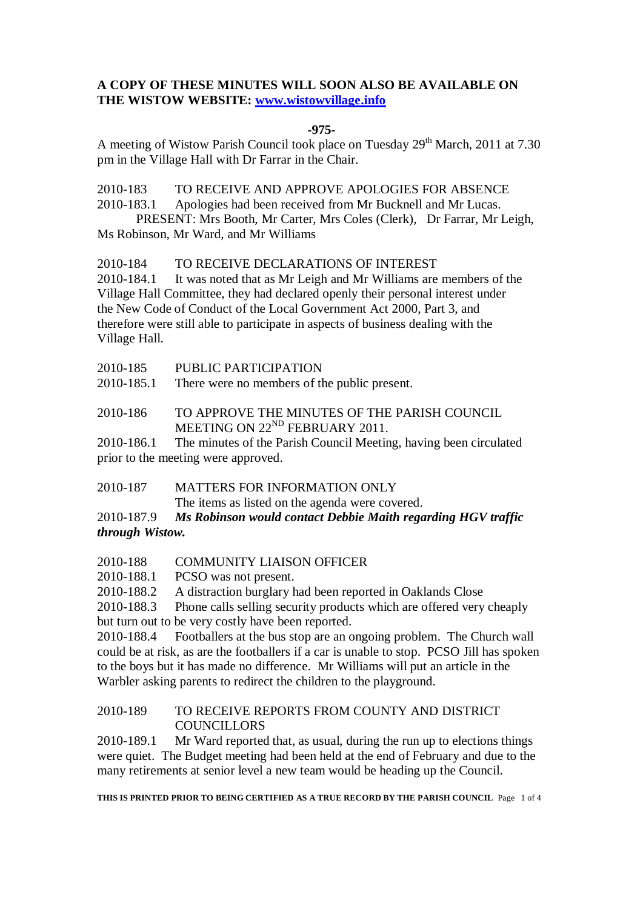## **A COPY OF THESE MINUTES WILL SOON ALSO BE AVAILABLE ON THE WISTOW WEBSITE: [www.wistowvillage.info](http://www.wistowvillage.info/)**

## **-975-**

A meeting of Wistow Parish Council took place on Tuesday  $29<sup>th</sup>$  March, 2011 at 7.30 pm in the Village Hall with Dr Farrar in the Chair.

2010-183 TO RECEIVE AND APPROVE APOLOGIES FOR ABSENCE

2010-183.1 Apologies had been received from Mr Bucknell and Mr Lucas.

PRESENT: Mrs Booth, Mr Carter, Mrs Coles (Clerk), Dr Farrar, Mr Leigh, Ms Robinson, Mr Ward, and Mr Williams

2010-184 TO RECEIVE DECLARATIONS OF INTEREST

2010-184.1 It was noted that as Mr Leigh and Mr Williams are members of the Village Hall Committee, they had declared openly their personal interest under the New Code of Conduct of the Local Government Act 2000, Part 3, and therefore were still able to participate in aspects of business dealing with the Village Hall.

2010-185.1 There were no members of the public present.

2010-186 TO APPROVE THE MINUTES OF THE PARISH COUNCIL MEETING ON 22<sup>ND</sup> FEBRUARY 2011.

2010-186.1 The minutes of the Parish Council Meeting, having been circulated prior to the meeting were approved.

2010-187 MATTERS FOR INFORMATION ONLY

The items as listed on the agenda were covered.

2010-187.9 *Ms Robinson would contact Debbie Maith regarding HGV traffic through Wistow.*

## 2010-188 COMMUNITY LIAISON OFFICER

2010-188.1 PCSO was not present.

2010-188.2 A distraction burglary had been reported in Oaklands Close

2010-188.3 Phone calls selling security products which are offered very cheaply but turn out to be very costly have been reported.

2010-188.4 Footballers at the bus stop are an ongoing problem. The Church wall could be at risk, as are the footballers if a car is unable to stop. PCSO Jill has spoken to the boys but it has made no difference. Mr Williams will put an article in the Warbler asking parents to redirect the children to the playground.

## 2010-189 TO RECEIVE REPORTS FROM COUNTY AND DISTRICT **COUNCILLORS**

2010-189.1 Mr Ward reported that, as usual, during the run up to elections things were quiet. The Budget meeting had been held at the end of February and due to the many retirements at senior level a new team would be heading up the Council.

**THIS IS PRINTED PRIOR TO BEING CERTIFIED AS A TRUE RECORD BY THE PARISH COUNCIL** Page 1 of 4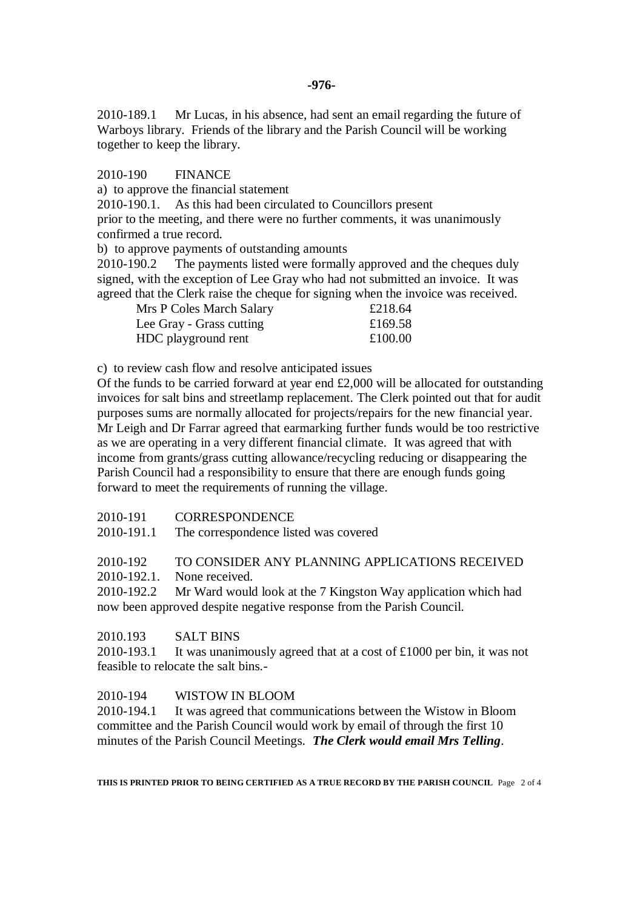2010-189.1 Mr Lucas, in his absence, had sent an email regarding the future of Warboys library. Friends of the library and the Parish Council will be working together to keep the library.

2010-190 FINANCE

a) to approve the financial statement

2010-190.1. As this had been circulated to Councillors present

prior to the meeting, and there were no further comments, it was unanimously confirmed a true record.

b) to approve payments of outstanding amounts

2010-190.2 The payments listed were formally approved and the cheques duly signed, with the exception of Lee Gray who had not submitted an invoice. It was agreed that the Clerk raise the cheque for signing when the invoice was received.

| Mrs P Coles March Salary | £218.64 |
|--------------------------|---------|
| Lee Gray - Grass cutting | £169.58 |
| HDC playground rent      | £100.00 |

c) to review cash flow and resolve anticipated issues

Of the funds to be carried forward at year end £2,000 will be allocated for outstanding invoices for salt bins and streetlamp replacement. The Clerk pointed out that for audit purposes sums are normally allocated for projects/repairs for the new financial year. Mr Leigh and Dr Farrar agreed that earmarking further funds would be too restrictive as we are operating in a very different financial climate. It was agreed that with income from grants/grass cutting allowance/recycling reducing or disappearing the Parish Council had a responsibility to ensure that there are enough funds going forward to meet the requirements of running the village.

2010-191 CORRESPONDENCE

2010-191.1 The correspondence listed was covered

## 2010-192 TO CONSIDER ANY PLANNING APPLICATIONS RECEIVED

2010-192.1. None received.

2010-192.2 Mr Ward would look at the 7 Kingston Way application which had now been approved despite negative response from the Parish Council.

## 2010.193 SALT BINS

2010-193.1 It was unanimously agreed that at a cost of  $\text{\pounds}1000$  per bin, it was not feasible to relocate the salt bins.-

## 2010-194 WISTOW IN BLOOM

2010-194.1 It was agreed that communications between the Wistow in Bloom committee and the Parish Council would work by email of through the first 10 minutes of the Parish Council Meetings. *The Clerk would email Mrs Telling*.

**THIS IS PRINTED PRIOR TO BEING CERTIFIED AS A TRUE RECORD BY THE PARISH COUNCIL** Page 2 of 4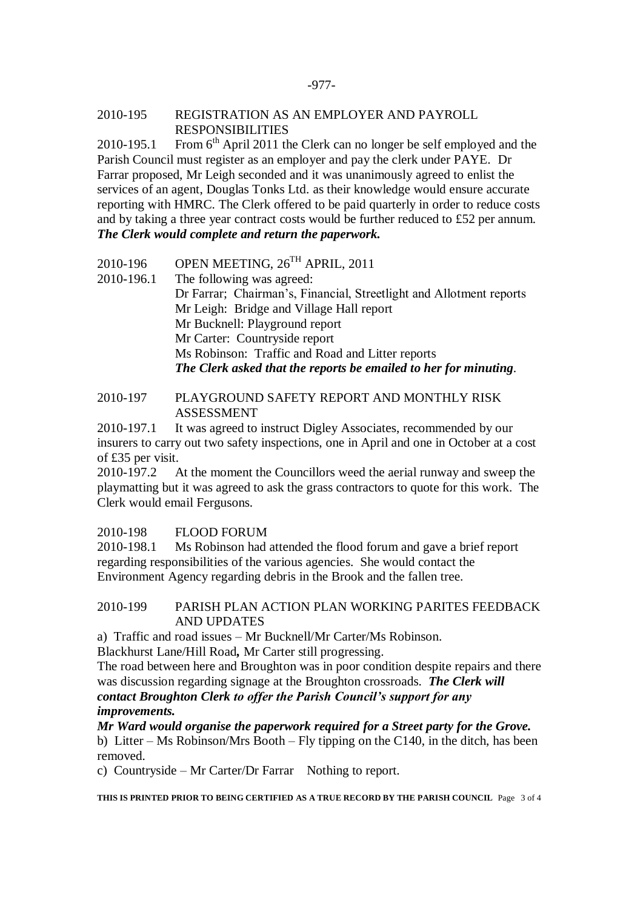#### -977-

#### 2010-195 REGISTRATION AS AN EMPLOYER AND PAYROLL RESPONSIBILITIES

2010-195.1 From  $6<sup>th</sup>$  April 2011 the Clerk can no longer be self employed and the Parish Council must register as an employer and pay the clerk under PAYE. Dr Farrar proposed, Mr Leigh seconded and it was unanimously agreed to enlist the services of an agent, Douglas Tonks Ltd. as their knowledge would ensure accurate reporting with HMRC. The Clerk offered to be paid quarterly in order to reduce costs and by taking a three year contract costs would be further reduced to £52 per annum. *The Clerk would complete and return the paperwork.* 

- 2010-196 OPEN MEETING,  $26^{TH}$  APRIL, 2011
- 2010-196.1 The following was agreed: Dr Farrar; Chairman's, Financial, Streetlight and Allotment reports Mr Leigh: Bridge and Village Hall report Mr Bucknell: Playground report Mr Carter: Countryside report Ms Robinson: Traffic and Road and Litter reports *The Clerk asked that the reports be emailed to her for minuting*.

## 2010-197 PLAYGROUND SAFETY REPORT AND MONTHLY RISK ASSESSMENT

2010-197.1 It was agreed to instruct Digley Associates, recommended by our insurers to carry out two safety inspections, one in April and one in October at a cost of £35 per visit.

2010-197.2 At the moment the Councillors weed the aerial runway and sweep the playmatting but it was agreed to ask the grass contractors to quote for this work. The Clerk would email Fergusons.

## 2010-198 FLOOD FORUM

2010-198.1 Ms Robinson had attended the flood forum and gave a brief report regarding responsibilities of the various agencies. She would contact the Environment Agency regarding debris in the Brook and the fallen tree.

#### 2010-199 PARISH PLAN ACTION PLAN WORKING PARITES FEEDBACK AND UPDATES

a) Traffic and road issues – Mr Bucknell/Mr Carter/Ms Robinson. Blackhurst Lane/Hill Road*,* Mr Carter still progressing.

The road between here and Broughton was in poor condition despite repairs and there was discussion regarding signage at the Broughton crossroads. *The Clerk will* 

# *contact Broughton Clerk to offer the Parish Council's support for any improvements.*

*Mr Ward would organise the paperwork required for a Street party for the Grove.*

b) Litter – Ms Robinson/Mrs Booth – Fly tipping on the C140, in the ditch, has been removed.

c) Countryside – Mr Carter/Dr Farrar Nothing to report.

**THIS IS PRINTED PRIOR TO BEING CERTIFIED AS A TRUE RECORD BY THE PARISH COUNCIL** Page 3 of 4